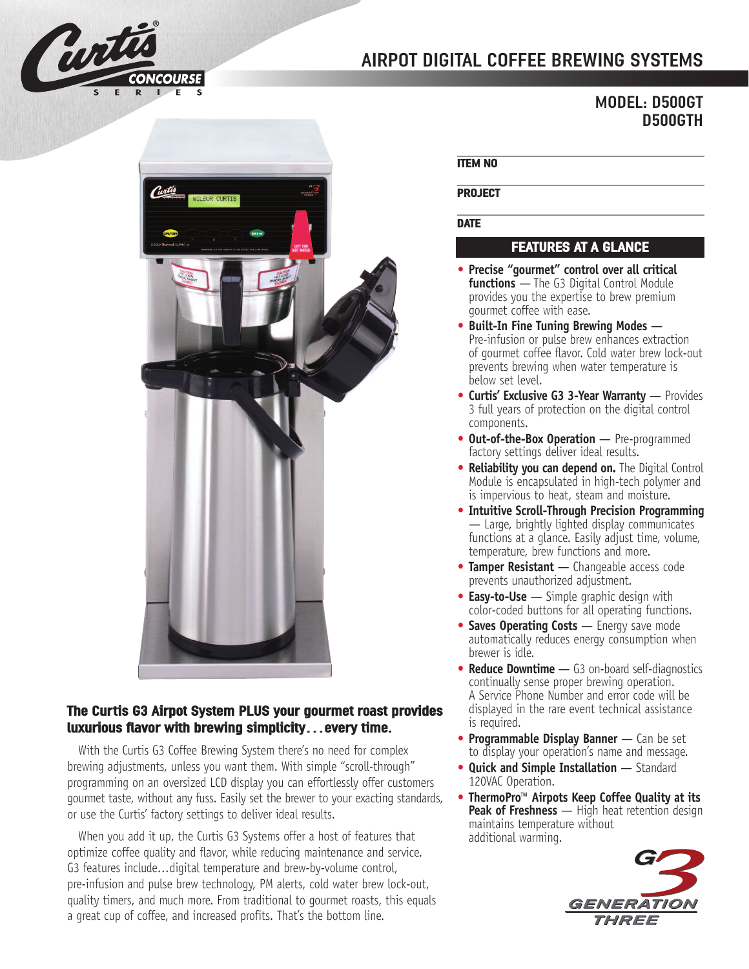

# **AIRPOT DIGITAL COFFEE BREWING SYSTEMS**

# **MODEL: D500GT D500GTH**



## **The Curtis G3 Airpot System PLUS your gourmet roast provides luxurious flavor with brewing simplicity…every time.**

With the Curtis G3 Coffee Brewing System there's no need for complex brewing adjustments, unless you want them. With simple "scroll-through" programming on an oversized LCD display you can effortlessly offer customers gourmet taste, without any fuss. Easily set the brewer to your exacting standards, or use the Curtis' factory settings to deliver ideal results.

When you add it up, the Curtis G3 Systems offer a host of features that optimize coffee quality and flavor, while reducing maintenance and service. G3 features include...digital temperature and brew-by-volume control, pre-infusion and pulse brew technology, PM alerts, cold water brew lock-out, quality timers, and much more. From traditional to gourmet roasts, this equals a great cup of coffee, and increased profits. That's the bottom line.

#### **ITEM NO**

#### **PROJECT**

#### **DATE**

# **FEATURES AT A GLANCE**

- **• Precise "gourmet" control over all critical functions** — The G3 Digital Control Module provides you the expertise to brew premium gourmet coffee with ease.
- **• Built-In Fine Tuning Brewing Modes** Pre-infusion or pulse brew enhances extraction of gourmet coffee flavor. Cold water brew lock-out prevents brewing when water temperature is below set level.
- **• Curtis' Exclusive G3 3-Year Warranty** Provides 3 full years of protection on the digital control components.
- **• Out-of-the-Box Operation** Pre-programmed factory settings deliver ideal results.
- **• Reliability you can depend on.** The Digital Control Module is encapsulated in high-tech polymer and is impervious to heat, steam and moisture.
- **• Intuitive Scroll-Through Precision Programming** — Large, brightly lighted display communicates functions at a glance. Easily adjust time, volume, temperature, brew functions and more.
- **• Tamper Resistant** Changeable access code prevents unauthorized adjustment.
- **• Easy-to-Use** Simple graphic design with color-coded buttons for all operating functions.
- **• Saves Operating Costs** Energy save mode automatically reduces energy consumption when brewer is idle.
- **• Reduce Downtime** G3 on-board self-diagnostics continually sense proper brewing operation. A Service Phone Number and error code will be displayed in the rare event technical assistance is required.
- **• Programmable Display Banner** Can be set to display your operation's name and message.
- **• Quick and Simple Installation** Standard 120VAC Operation.
- **• ThermoPro™ Airpots Keep Coffee Quality at its Peak of Freshness** — High heat retention design maintains temperature without additional warming.